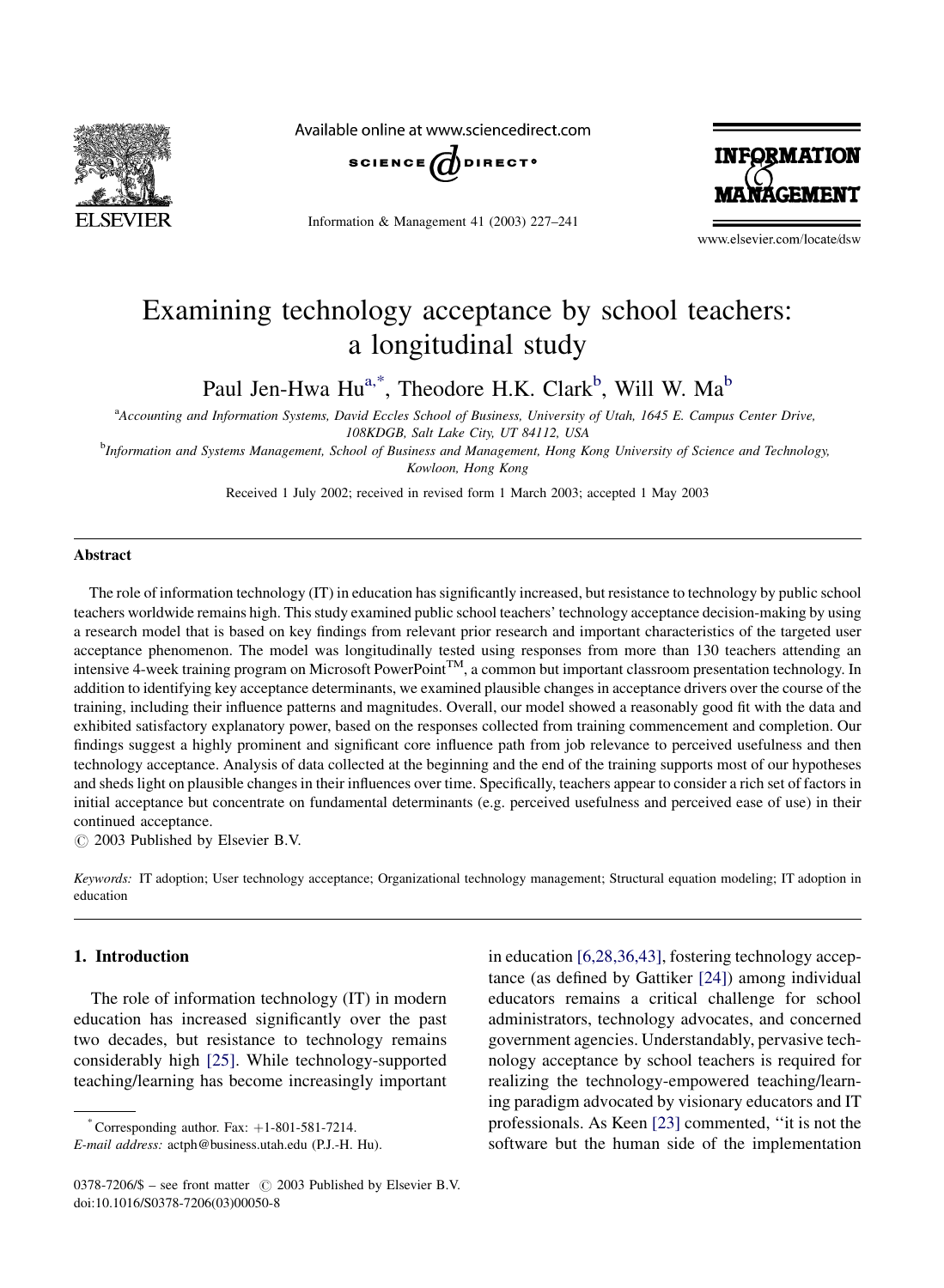

Available online at www.sciencedirect.com



Information & Management 41 (2003) 227–241



www.elsevier.com/locate/dsw

## Examining technology acceptance by school teachers: a longitudinal study

Paul Jen-Hwa Hu<sup>a,\*</sup>, Theodore H.K. Clark<sup>b</sup>, Will W. Ma<sup>b</sup>

a Accounting and Information Systems, David Eccles School of Business, University of Utah, 1645 E. Campus Center Drive, 108KDGB, Salt Lake City, UT 84112, USA

b Information and Systems Management, School of Business and Management, Hong Kong University of Science and Technology, Kowloon, Hong Kong

Received 1 July 2002; received in revised form 1 March 2003; accepted 1 May 2003

#### Abstract

The role of information technology (IT) in education has significantly increased, but resistance to technology by public school teachers worldwide remains high. This study examined public school teachers' technology acceptance decision-making by using a research model that is based on key findings from relevant prior research and important characteristics of the targeted user acceptance phenomenon. The model was longitudinally tested using responses from more than 130 teachers attending an intensive 4-week training program on Microsoft PowerPoint<sup>TM</sup>, a common but important classroom presentation technology. In addition to identifying key acceptance determinants, we examined plausible changes in acceptance drivers over the course of the training, including their influence patterns and magnitudes. Overall, our model showed a reasonably good fit with the data and exhibited satisfactory explanatory power, based on the responses collected from training commencement and completion. Our findings suggest a highly prominent and significant core influence path from job relevance to perceived usefulness and then technology acceptance. Analysis of data collected at the beginning and the end of the training supports most of our hypotheses and sheds light on plausible changes in their influences over time. Specifically, teachers appear to consider a rich set of factors in initial acceptance but concentrate on fundamental determinants (e.g. perceived usefulness and perceived ease of use) in their continued acceptance.

 $\odot$  2003 Published by Elsevier B.V.

Keywords: IT adoption; User technology acceptance; Organizational technology management; Structural equation modeling; IT adoption in education

### 1. Introduction

The role of information technology (IT) in modern education has increased significantly over the past two decades, but resistance to technology remains considerably high [\[25\].](#page--1-0) While technology-supported teaching/learning has become increasingly important

\* Corresponding author. Fax:  $+1-801-581-7214$ .

in education [\[6,28,36,43\],](#page--1-0) fostering technology acceptance (as defined by Gattiker [\[24\]](#page--1-0)) among individual educators remains a critical challenge for school administrators, technology advocates, and concerned government agencies. Understandably, pervasive technology acceptance by school teachers is required for realizing the technology-empowered teaching/learning paradigm advocated by visionary educators and IT professionals. As Keen [\[23\]](#page--1-0) commented, ''it is not the software but the human side of the implementation

E-mail address: actph@business.utah.edu (P.J.-H. Hu).

<sup>0378-7206/\$ –</sup> see front matter  $\circ$  2003 Published by Elsevier B.V. doi:10.1016/S0378-7206(03)00050-8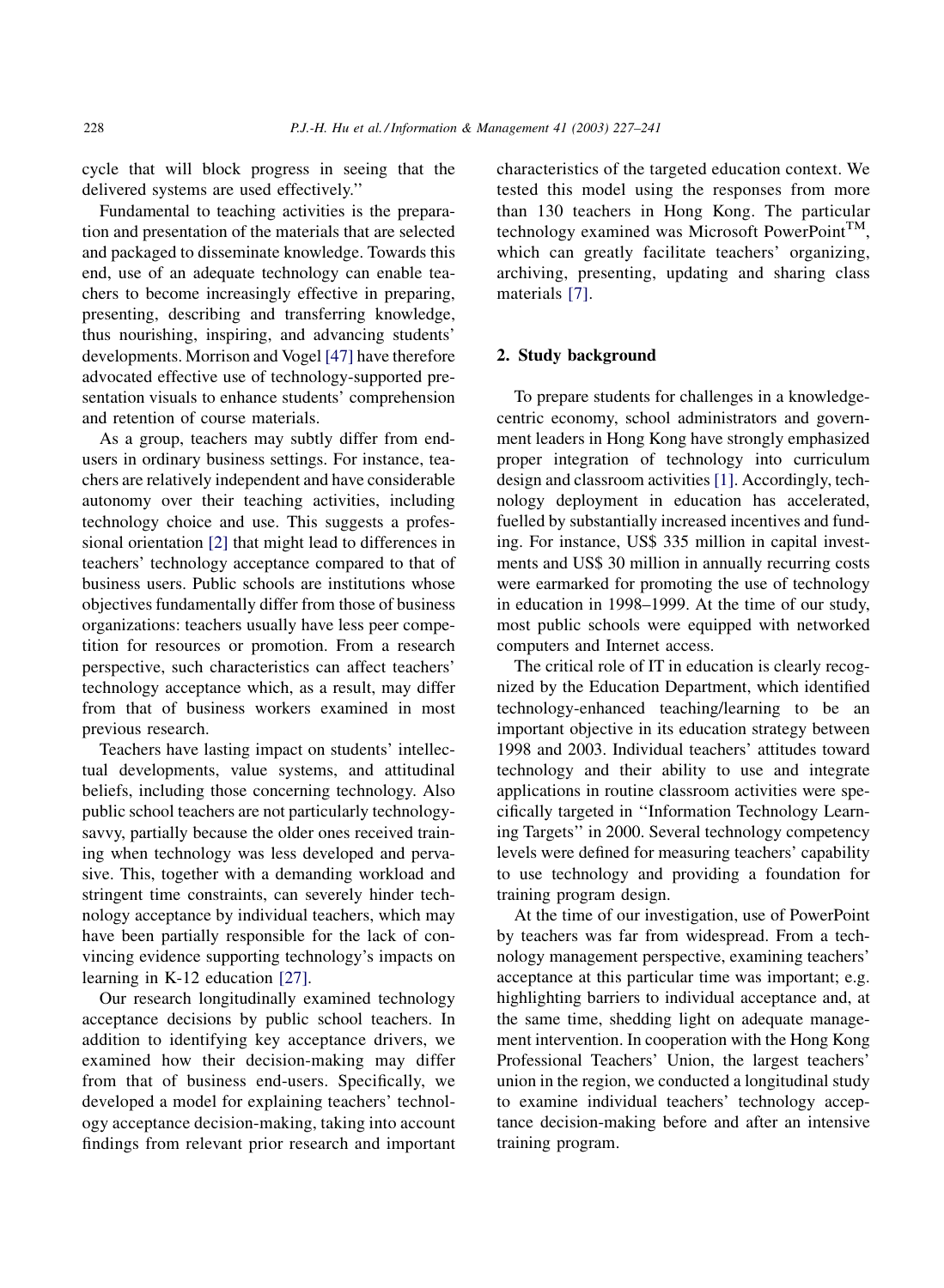cycle that will block progress in seeing that the delivered systems are used effectively.''

Fundamental to teaching activities is the preparation and presentation of the materials that are selected and packaged to disseminate knowledge. Towards this end, use of an adequate technology can enable teachers to become increasingly effective in preparing, presenting, describing and transferring knowledge, thus nourishing, inspiring, and advancing students' developments. Morrison and Vogel [\[47\]](#page--1-0) have therefore advocated effective use of technology-supported presentation visuals to enhance students' comprehension and retention of course materials.

As a group, teachers may subtly differ from endusers in ordinary business settings. For instance, teachers are relatively independent and have considerable autonomy over their teaching activities, including technology choice and use. This suggests a professional orientation [\[2\]](#page--1-0) that might lead to differences in teachers' technology acceptance compared to that of business users. Public schools are institutions whose objectives fundamentally differ from those of business organizations: teachers usually have less peer competition for resources or promotion. From a research perspective, such characteristics can affect teachers' technology acceptance which, as a result, may differ from that of business workers examined in most previous research.

Teachers have lasting impact on students' intellectual developments, value systems, and attitudinal beliefs, including those concerning technology. Also public school teachers are not particularly technologysavvy, partially because the older ones received training when technology was less developed and pervasive. This, together with a demanding workload and stringent time constraints, can severely hinder technology acceptance by individual teachers, which may have been partially responsible for the lack of convincing evidence supporting technology's impacts on learning in K-12 education [\[27\]](#page--1-0).

Our research longitudinally examined technology acceptance decisions by public school teachers. In addition to identifying key acceptance drivers, we examined how their decision-making may differ from that of business end-users. Specifically, we developed a model for explaining teachers' technology acceptance decision-making, taking into account findings from relevant prior research and important characteristics of the targeted education context. We tested this model using the responses from more than 130 teachers in Hong Kong. The particular technology examined was Microsoft PowerPoint<sup>TM</sup>, which can greatly facilitate teachers' organizing, archiving, presenting, updating and sharing class materials [\[7\]](#page--1-0).

### 2. Study background

To prepare students for challenges in a knowledgecentric economy, school administrators and government leaders in Hong Kong have strongly emphasized proper integration of technology into curriculum design and classroom activities [\[1\]](#page--1-0). Accordingly, technology deployment in education has accelerated, fuelled by substantially increased incentives and funding. For instance, US\$ 335 million in capital investments and US\$ 30 million in annually recurring costs were earmarked for promoting the use of technology in education in 1998–1999. At the time of our study, most public schools were equipped with networked computers and Internet access.

The critical role of IT in education is clearly recognized by the Education Department, which identified technology-enhanced teaching/learning to be an important objective in its education strategy between 1998 and 2003. Individual teachers' attitudes toward technology and their ability to use and integrate applications in routine classroom activities were specifically targeted in ''Information Technology Learning Targets'' in 2000. Several technology competency levels were defined for measuring teachers' capability to use technology and providing a foundation for training program design.

At the time of our investigation, use of PowerPoint by teachers was far from widespread. From a technology management perspective, examining teachers' acceptance at this particular time was important; e.g. highlighting barriers to individual acceptance and, at the same time, shedding light on adequate management intervention. In cooperation with the Hong Kong Professional Teachers' Union, the largest teachers' union in the region, we conducted a longitudinal study to examine individual teachers' technology acceptance decision-making before and after an intensive training program.